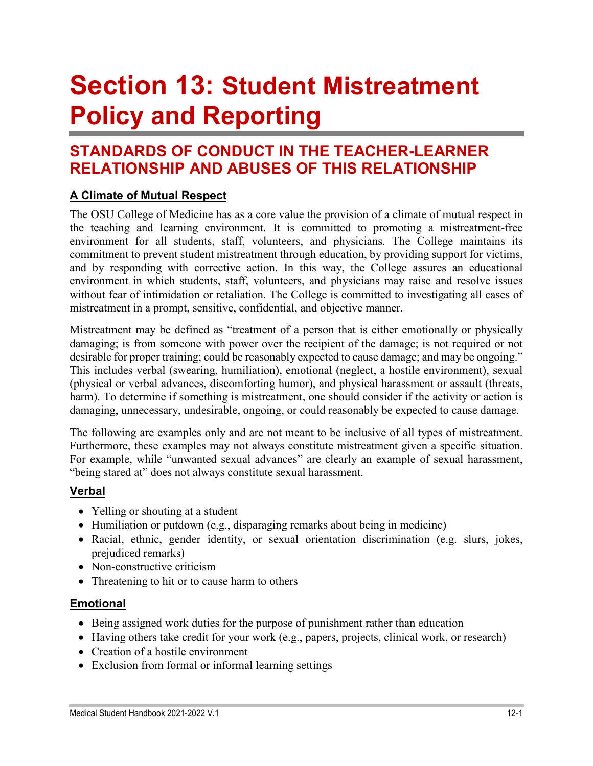# **Section 13: Student Mistreatment Policy and Reporting**

# **STANDARDS OF CONDUCT IN THE TEACHER-LEARNER RELATIONSHIP AND ABUSES OF THIS RELATIONSHIP**

# **A Climate of Mutual Respect**

The OSU College of Medicine has as a core value the provision of a climate of mutual respect in the teaching and learning environment. It is committed to promoting a mistreatment-free environment for all students, staff, volunteers, and physicians. The College maintains its commitment to prevent student mistreatment through education, by providing support for victims, and by responding with corrective action. In this way, the College assures an educational environment in which students, staff, volunteers, and physicians may raise and resolve issues without fear of intimidation or retaliation. The College is committed to investigating all cases of mistreatment in a prompt, sensitive, confidential, and objective manner.

Mistreatment may be defined as "treatment of a person that is either emotionally or physically damaging; is from someone with power over the recipient of the damage; is not required or not desirable for proper training; could be reasonably expected to cause damage; and may be ongoing." This includes verbal (swearing, humiliation), emotional (neglect, a hostile environment), sexual (physical or verbal advances, discomforting humor), and physical harassment or assault (threats, harm). To determine if something is mistreatment, one should consider if the activity or action is damaging, unnecessary, undesirable, ongoing, or could reasonably be expected to cause damage.

The following are examples only and are not meant to be inclusive of all types of mistreatment. Furthermore, these examples may not always constitute mistreatment given a specific situation. For example, while "unwanted sexual advances" are clearly an example of sexual harassment, "being stared at" does not always constitute sexual harassment.

## **Verbal**

- Yelling or shouting at a student
- Humiliation or putdown (e.g., disparaging remarks about being in medicine)
- Racial, ethnic, gender identity, or sexual orientation discrimination (e.g. slurs, jokes, prejudiced remarks)
- Non-constructive criticism
- Threatening to hit or to cause harm to others

## **Emotional**

- Being assigned work duties for the purpose of punishment rather than education
- Having others take credit for your work (e.g., papers, projects, clinical work, or research)
- Creation of a hostile environment
- Exclusion from formal or informal learning settings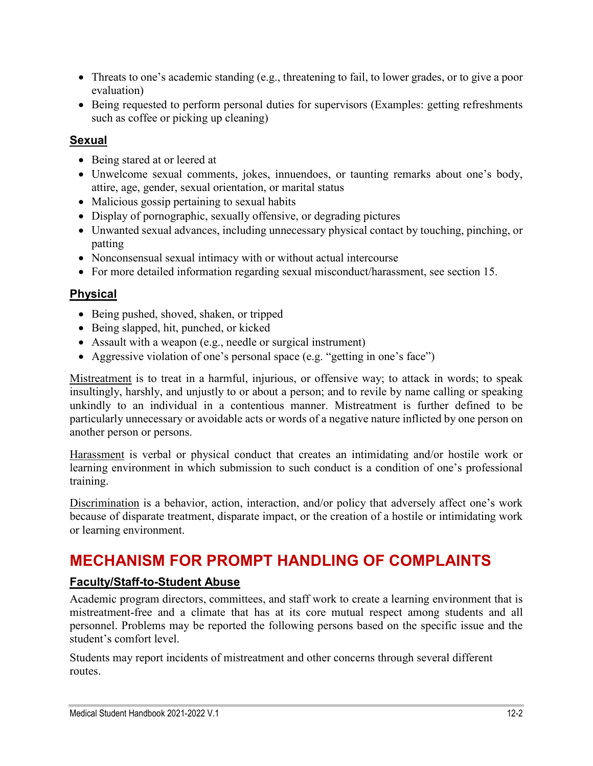- Threats to one's academic standing (e.g., threatening to fail, to lower grades, or to give a poor evaluation)
- Being requested to perform personal duties for supervisors (Examples: getting refreshments such as coffee or picking up cleaning)

## **Sexual**

- Being stared at or leered at
- Unwelcome sexual comments, jokes, innuendoes, or taunting remarks about one's body, attire, age, gender, sexual orientation, or marital status
- Malicious gossip pertaining to sexual habits
- Display of pornographic, sexually offensive, or degrading pictures
- Unwanted sexual advances, including unnecessary physical contact by touching, pinching, or patting
- Nonconsensual sexual intimacy with or without actual intercourse
- For more detailed information regarding sexual misconduct/harassment, see section 15.

## **Physical**

- Being pushed, shoved, shaken, or tripped
- Being slapped, hit, punched, or kicked
- Assault with a weapon (e.g., needle or surgical instrument)
- Aggressive violation of one's personal space (e.g. "getting in one's face")

Mistreatment is to treat in a harmful, injurious, or offensive way; to attack in words; to speak insultingly, harshly, and unjustly to or about a person; and to revile by name calling or speaking unkindly to an individual in a contentious manner. Mistreatment is further defined to be particularly unnecessary or avoidable acts or words of a negative nature inflicted by one person on another person or persons.

Harassment is verbal or physical conduct that creates an intimidating and/or hostile work or learning environment in which submission to such conduct is a condition of one's professional training.

Discrimination is a behavior, action, interaction, and/or policy that adversely affect one's work because of disparate treatment, disparate impact, or the creation of a hostile or intimidating work or learning environment.

# **MECHANISM FOR PROMPT HANDLING OF COMPLAINTS**

# **Faculty/Staff-to-Student Abuse**

Academic program directors, committees, and staff work to create a learning environment that is mistreatment-free and a climate that has at its core mutual respect among students and all personnel. Problems may be reported the following persons based on the specific issue and the student's comfort level.

Students may report incidents of mistreatment and other concerns through several different routes.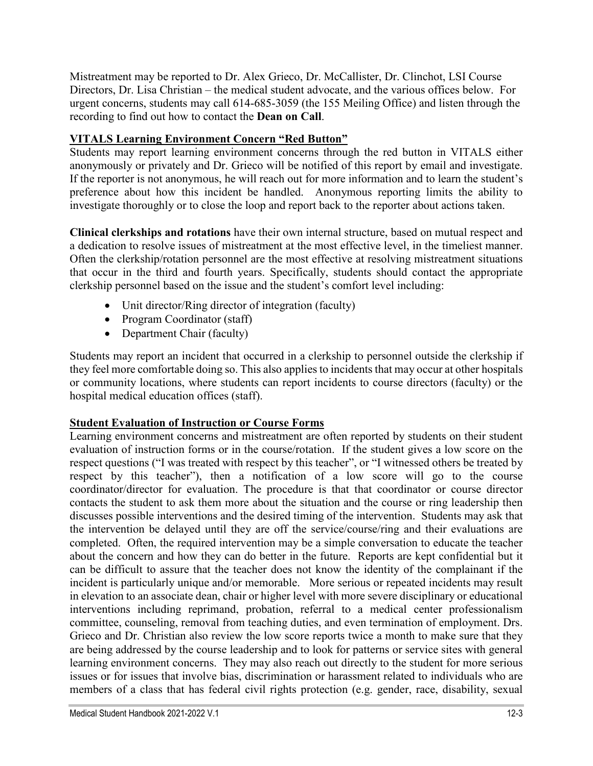Mistreatment may be reported to Dr. Alex Grieco, Dr. McCallister, Dr. Clinchot, LSI Course Directors, Dr. Lisa Christian – the medical student advocate, and the various offices below. For urgent concerns, students may call 614-685-3059 (the 155 Meiling Office) and listen through the recording to find out how to contact the **Dean on Call**.

#### **VITALS Learning Environment Concern "Red Button"**

Students may report learning environment concerns through the red button in VITALS either anonymously or privately and Dr. Grieco will be notified of this report by email and investigate. If the reporter is not anonymous, he will reach out for more information and to learn the student's preference about how this incident be handled. Anonymous reporting limits the ability to investigate thoroughly or to close the loop and report back to the reporter about actions taken.

**Clinical clerkships and rotations** have their own internal structure, based on mutual respect and a dedication to resolve issues of mistreatment at the most effective level, in the timeliest manner. Often the clerkship/rotation personnel are the most effective at resolving mistreatment situations that occur in the third and fourth years. Specifically, students should contact the appropriate clerkship personnel based on the issue and the student's comfort level including:

- Unit director/Ring director of integration (faculty)
- Program Coordinator (staff)
- Department Chair (faculty)

Students may report an incident that occurred in a clerkship to personnel outside the clerkship if they feel more comfortable doing so. This also applies to incidents that may occur at other hospitals or community locations, where students can report incidents to course directors (faculty) or the hospital medical education offices (staff).

#### **Student Evaluation of Instruction or Course Forms**

Learning environment concerns and mistreatment are often reported by students on their student evaluation of instruction forms or in the course/rotation. If the student gives a low score on the respect questions ("I was treated with respect by this teacher", or "I witnessed others be treated by respect by this teacher"), then a notification of a low score will go to the course coordinator/director for evaluation. The procedure is that that coordinator or course director contacts the student to ask them more about the situation and the course or ring leadership then discusses possible interventions and the desired timing of the intervention. Students may ask that the intervention be delayed until they are off the service/course/ring and their evaluations are completed. Often, the required intervention may be a simple conversation to educate the teacher about the concern and how they can do better in the future. Reports are kept confidential but it can be difficult to assure that the teacher does not know the identity of the complainant if the incident is particularly unique and/or memorable. More serious or repeated incidents may result in elevation to an associate dean, chair or higher level with more severe disciplinary or educational interventions including reprimand, probation, referral to a medical center professionalism committee, counseling, removal from teaching duties, and even termination of employment. Drs. Grieco and Dr. Christian also review the low score reports twice a month to make sure that they are being addressed by the course leadership and to look for patterns or service sites with general learning environment concerns. They may also reach out directly to the student for more serious issues or for issues that involve bias, discrimination or harassment related to individuals who are members of a class that has federal civil rights protection (e.g. gender, race, disability, sexual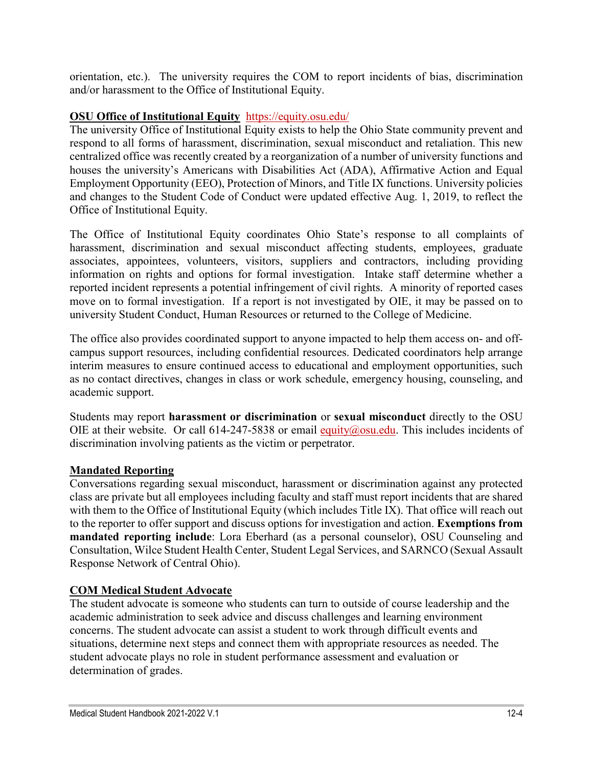orientation, etc.). The university requires the COM to report incidents of bias, discrimination and/or harassment to the Office of Institutional Equity.

#### **OSU Office of Institutional Equity** [https://equity.osu.edu/](https://urldefense.proofpoint.com/v2/url?u=https-3A__equity.osu.edu_&d=DwMFAg&c=k9MF1d71ITtkuJx-PdWme51dKbmfPEvxwt8SFEkBfs4&r=vUfcbFUzRLRIUHyzrDIS9IpeEcB5cbYlwylPdG9q7mo&m=iwLKJGIHTM5PqY1SLBtXJGdYScT8m_V1TLFhbterCEc&s=PWhqSq8bIEJNv9QScrtQEO83mwTPtn0ddtrV2g1FQV8&e=)

The university Office of Institutional Equity exists to help the Ohio State community prevent and respond to all forms of harassment, discrimination, sexual misconduct and retaliation. This new centralized office was recently created by a reorganization of a number of university functions and houses the university's Americans with Disabilities Act (ADA), Affirmative Action and Equal Employment Opportunity (EEO), Protection of Minors, and Title IX functions. University policies and changes to the Student Code of Conduct were updated effective Aug. 1, 2019, to reflect the Office of Institutional Equity.

The Office of Institutional Equity coordinates Ohio State's response to all complaints of harassment, discrimination and sexual misconduct affecting students, employees, graduate associates, appointees, volunteers, visitors, suppliers and contractors, including providing information on rights and options for formal investigation. Intake staff determine whether a reported incident represents a potential infringement of civil rights. A minority of reported cases move on to formal investigation. If a report is not investigated by OIE, it may be passed on to university Student Conduct, Human Resources or returned to the College of Medicine.

The office also provides coordinated support to anyone impacted to help them access on- and offcampus support resources, including confidential resources. Dedicated coordinators help arrange interim measures to ensure continued access to educational and employment opportunities, such as no contact directives, changes in class or work schedule, emergency housing, counseling, and academic support.

Students may report **harassment or discrimination** or **sexual misconduct** directly to the OSU OIE at their website. Or call 614-247-5838 or email [equity@osu.edu.](mailto:equity@osu.edu) This includes incidents of discrimination involving patients as the victim or perpetrator.

#### **Mandated Reporting**

Conversations regarding sexual misconduct, harassment or discrimination against any protected class are private but all employees including faculty and staff must report incidents that are shared with them to the Office of Institutional Equity (which includes Title IX). That office will reach out to the reporter to offer support and discuss options for investigation and action. **Exemptions from mandated reporting include**: Lora Eberhard (as a personal counselor), OSU Counseling and Consultation, Wilce Student Health Center, Student Legal Services, and SARNCO (Sexual Assault Response Network of Central Ohio).

#### **COM Medical Student Advocate**

The student advocate is someone who students can turn to outside of course leadership and the academic administration to seek advice and discuss challenges and learning environment concerns. The student advocate can assist a student to work through difficult events and situations, determine next steps and connect them with appropriate resources as needed. The student advocate plays no role in student performance assessment and evaluation or determination of grades.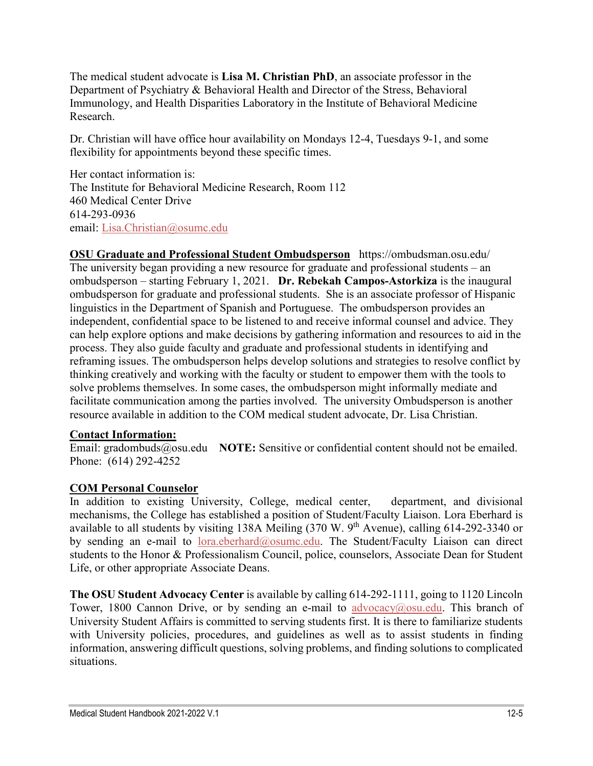The medical student advocate is **Lisa M. Christian PhD**, an associate professor in the Department of Psychiatry & Behavioral Health and Director of the Stress, Behavioral Immunology, and Health Disparities Laboratory in the Institute of Behavioral Medicine Research.

Dr. Christian will have office hour availability on Mondays 12-4, Tuesdays 9-1, and some flexibility for appointments beyond these specific times.

Her contact information is: The Institute for Behavioral Medicine Research, Room 112 460 Medical Center Drive 614-293-0936 email: [Lisa.Christian@osumc.edu](mailto:Lisa.Christian@osumc.edu)

**OSU Graduate and Professional Student Ombudsperson** <https://ombudsman.osu.edu/> The university began providing a new resource for graduate and professional students – an ombudsperson – starting February 1, 2021. **Dr. Rebekah Campos-Astorkiza** is the inaugural ombudsperson for graduate and professional students. She is an associate professor of Hispanic linguistics in the Department of Spanish and Portuguese. The ombudsperson provides an independent, confidential space to be listened to and receive informal counsel and advice. They can help explore options and make decisions by gathering information and resources to aid in the process. They also guide faculty and graduate and professional students in identifying and reframing issues. The ombudsperson helps develop solutions and strategies to resolve conflict by thinking creatively and working with the faculty or student to empower them with the tools to solve problems themselves. In some cases, the ombudsperson might informally mediate and facilitate communication among the parties involved. The university Ombudsperson is another resource available in addition to the COM medical student advocate, Dr. Lisa Christian.

#### **Contact Information:**

Email: [gradombuds@osu.edu](mailto:gradombuds@osu.edu) NOTE: Sensitive or confidential content should not be emailed. Phone: [\(614\) 292-4252](tel:6142922240)

#### **COM Personal Counselor**

In addition to existing University, College, medical center, department, and divisional mechanisms, the College has established a position of Student/Faculty Liaison. Lora Eberhard is available to all students by visiting 138A Meiling (370 W. 9<sup>th</sup> Avenue), calling 614-292-3340 or by sending an e-mail to [lora.eberhard@osumc.edu.](mailto:lora.eberhard@osumc.edu) The Student/Faculty Liaison can direct students to the Honor & Professionalism Council, police, counselors, Associate Dean for Student Life, or other appropriate Associate Deans.

**The OSU Student Advocacy Center** is available by calling 614-292-1111, going to 1120 Lincoln Tower, 1800 Cannon Drive, or by sending an e-mail to [advocacy@osu.edu.](mailto:advocacy@osu.edu) This branch of University Student Affairs is committed to serving students first. It is there to familiarize students with University policies, procedures, and guidelines as well as to assist students in finding information, answering difficult questions, solving problems, and finding solutions to complicated situations.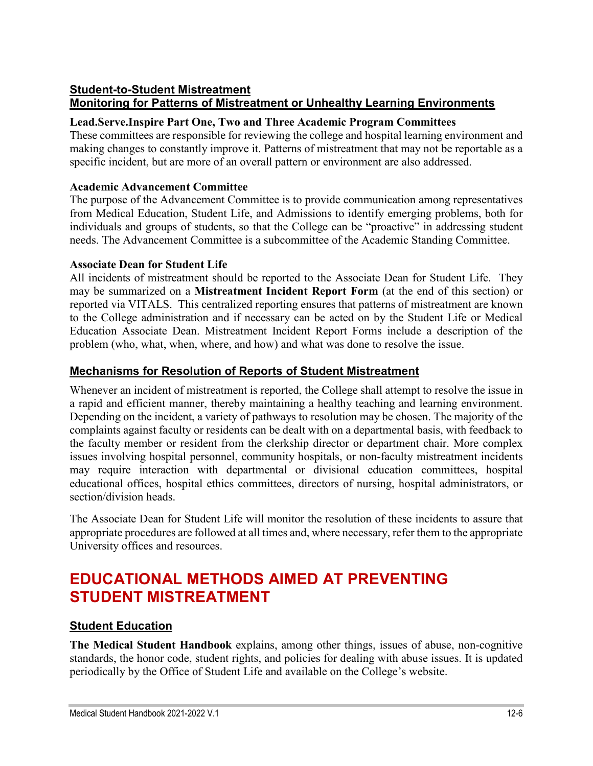#### **Student-to-Student Mistreatment Monitoring for Patterns of Mistreatment or Unhealthy Learning Environments**

#### **Lead.Serve.Inspire Part One, Two and Three Academic Program Committees**

These committees are responsible for reviewing the college and hospital learning environment and making changes to constantly improve it. Patterns of mistreatment that may not be reportable as a specific incident, but are more of an overall pattern or environment are also addressed.

#### **Academic Advancement Committee**

The purpose of the Advancement Committee is to provide communication among representatives from Medical Education, Student Life, and Admissions to identify emerging problems, both for individuals and groups of students, so that the College can be "proactive" in addressing student needs. The Advancement Committee is a subcommittee of the Academic Standing Committee.

#### **Associate Dean for Student Life**

All incidents of mistreatment should be reported to the Associate Dean for Student Life. They may be summarized on a **Mistreatment Incident Report Form** (at the end of this section) or reported via VITALS. This centralized reporting ensures that patterns of mistreatment are known to the College administration and if necessary can be acted on by the Student Life or Medical Education Associate Dean. Mistreatment Incident Report Forms include a description of the problem (who, what, when, where, and how) and what was done to resolve the issue.

### **Mechanisms for Resolution of Reports of Student Mistreatment**

Whenever an incident of mistreatment is reported, the College shall attempt to resolve the issue in a rapid and efficient manner, thereby maintaining a healthy teaching and learning environment. Depending on the incident, a variety of pathways to resolution may be chosen. The majority of the complaints against faculty or residents can be dealt with on a departmental basis, with feedback to the faculty member or resident from the clerkship director or department chair. More complex issues involving hospital personnel, community hospitals, or non-faculty mistreatment incidents may require interaction with departmental or divisional education committees, hospital educational offices, hospital ethics committees, directors of nursing, hospital administrators, or section/division heads.

The Associate Dean for Student Life will monitor the resolution of these incidents to assure that appropriate procedures are followed at all times and, where necessary, refer them to the appropriate University offices and resources.

# **EDUCATIONAL METHODS AIMED AT PREVENTING STUDENT MISTREATMENT**

#### **Student Education**

**The Medical Student Handbook** explains, among other things, issues of abuse, non-cognitive standards, the honor code, student rights, and policies for dealing with abuse issues. It is updated periodically by the Office of Student Life and available on the College's website.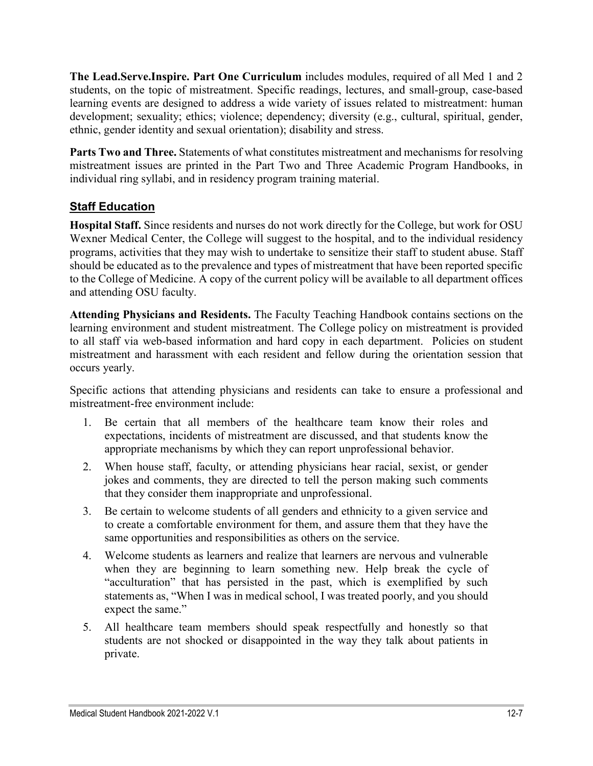**The Lead.Serve.Inspire. Part One Curriculum** includes modules, required of all Med 1 and 2 students, on the topic of mistreatment. Specific readings, lectures, and small-group, case-based learning events are designed to address a wide variety of issues related to mistreatment: human development; sexuality; ethics; violence; dependency; diversity (e.g., cultural, spiritual, gender, ethnic, gender identity and sexual orientation); disability and stress.

**Parts Two and Three.** Statements of what constitutes mistreatment and mechanisms for resolving mistreatment issues are printed in the Part Two and Three Academic Program Handbooks, in individual ring syllabi, and in residency program training material.

## **Staff Education**

**Hospital Staff.** Since residents and nurses do not work directly for the College, but work for OSU Wexner Medical Center, the College will suggest to the hospital, and to the individual residency programs, activities that they may wish to undertake to sensitize their staff to student abuse. Staff should be educated as to the prevalence and types of mistreatment that have been reported specific to the College of Medicine. A copy of the current policy will be available to all department offices and attending OSU faculty.

**Attending Physicians and Residents.** The Faculty Teaching Handbook contains sections on the learning environment and student mistreatment. The College policy on mistreatment is provided to all staff via web-based information and hard copy in each department. Policies on student mistreatment and harassment with each resident and fellow during the orientation session that occurs yearly.

Specific actions that attending physicians and residents can take to ensure a professional and mistreatment-free environment include:

- 1. Be certain that all members of the healthcare team know their roles and expectations, incidents of mistreatment are discussed, and that students know the appropriate mechanisms by which they can report unprofessional behavior.
- 2. When house staff, faculty, or attending physicians hear racial, sexist, or gender jokes and comments, they are directed to tell the person making such comments that they consider them inappropriate and unprofessional.
- 3. Be certain to welcome students of all genders and ethnicity to a given service and to create a comfortable environment for them, and assure them that they have the same opportunities and responsibilities as others on the service.
- 4. Welcome students as learners and realize that learners are nervous and vulnerable when they are beginning to learn something new. Help break the cycle of "acculturation" that has persisted in the past, which is exemplified by such statements as, "When I was in medical school, I was treated poorly, and you should expect the same."
- 5. All healthcare team members should speak respectfully and honestly so that students are not shocked or disappointed in the way they talk about patients in private.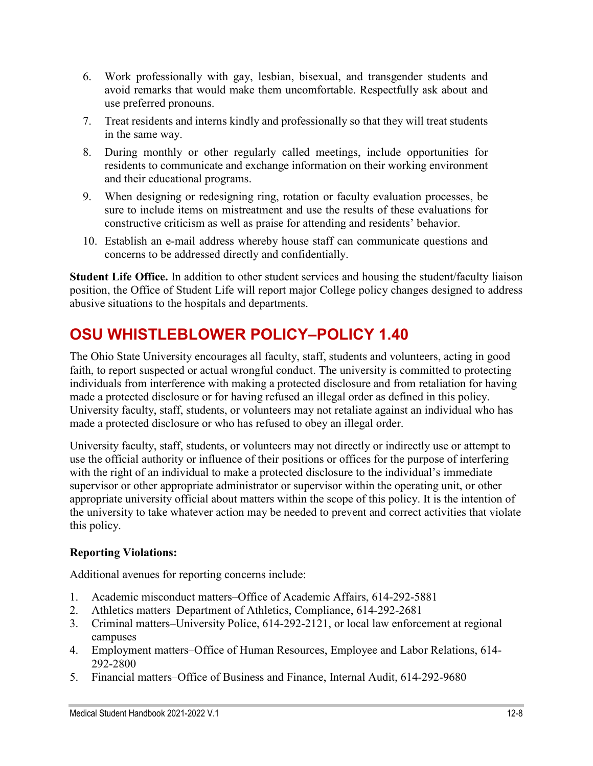- 6. Work professionally with gay, lesbian, bisexual, and transgender students and avoid remarks that would make them uncomfortable. Respectfully ask about and use preferred pronouns.
- 7. Treat residents and interns kindly and professionally so that they will treat students in the same way.
- 8. During monthly or other regularly called meetings, include opportunities for residents to communicate and exchange information on their working environment and their educational programs.
- 9. When designing or redesigning ring, rotation or faculty evaluation processes, be sure to include items on mistreatment and use the results of these evaluations for constructive criticism as well as praise for attending and residents' behavior.
- 10. Establish an e-mail address whereby house staff can communicate questions and concerns to be addressed directly and confidentially.

**Student Life Office.** In addition to other student services and housing the student/faculty liaison position, the Office of Student Life will report major College policy changes designed to address abusive situations to the hospitals and departments.

# **OSU WHISTLEBLOWER POLICY–POLICY 1.40**

The Ohio State University encourages all faculty, staff, students and volunteers, acting in good faith, to report suspected or actual wrongful conduct. The university is committed to protecting individuals from interference with making a protected disclosure and from retaliation for having made a protected disclosure or for having refused an illegal order as defined in this policy. University faculty, staff, students, or volunteers may not retaliate against an individual who has made a protected disclosure or who has refused to obey an illegal order.

University faculty, staff, students, or volunteers may not directly or indirectly use or attempt to use the official authority or influence of their positions or offices for the purpose of interfering with the right of an individual to make a protected disclosure to the individual's immediate supervisor or other appropriate administrator or supervisor within the operating unit, or other appropriate university official about matters within the scope of this policy. It is the intention of the university to take whatever action may be needed to prevent and correct activities that violate this policy.

#### **Reporting Violations:**

Additional avenues for reporting concerns include:

- 1. Academic misconduct matters–Office of Academic Affairs, 614-292-5881
- 2. Athletics matters–Department of Athletics, Compliance, 614-292-2681
- 3. Criminal matters–University Police, 614-292-2121, or local law enforcement at regional campuses
- 4. Employment matters–Office of Human Resources, Employee and Labor Relations, 614- 292-2800
- 5. Financial matters–Office of Business and Finance, Internal Audit, 614-292-9680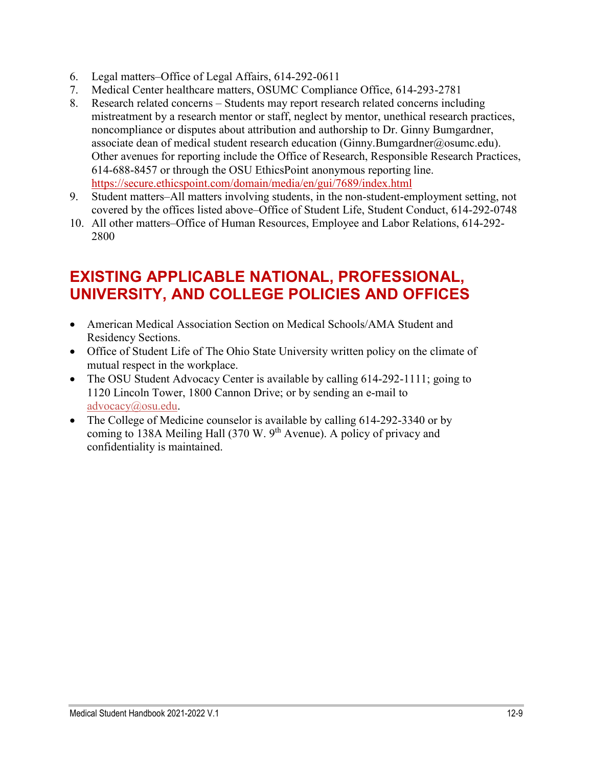- 6. Legal matters–Office of Legal Affairs, 614-292-0611
- 7. Medical Center healthcare matters, OSUMC Compliance Office, 614-293-2781
- 8. Research related concerns Students may report research related concerns including mistreatment by a research mentor or staff, neglect by mentor, unethical research practices, noncompliance or disputes about attribution and authorship to Dr. Ginny Bumgardner, associate dean of medical student research education (Ginny.Bumgardner@osumc.edu). Other avenues for reporting include the Office of Research, Responsible Research Practices, 614-688-8457 or through the OSU EthicsPoint anonymous reporting line. <https://secure.ethicspoint.com/domain/media/en/gui/7689/index.html>
- 9. Student matters–All matters involving students, in the non-student-employment setting, not covered by the offices listed above–Office of Student Life, Student Conduct, 614-292-0748
- 10. All other matters–Office of Human Resources, Employee and Labor Relations, 614-292- 2800

# **EXISTING APPLICABLE NATIONAL, PROFESSIONAL, UNIVERSITY, AND COLLEGE POLICIES AND OFFICES**

- American Medical Association Section on Medical Schools/AMA Student and Residency Sections.
- Office of Student Life of The Ohio State University written policy on the climate of mutual respect in the workplace.
- The OSU Student Advocacy Center is available by calling 614-292-1111; going to 1120 Lincoln Tower, 1800 Cannon Drive; or by sending an e-mail to [advocacy@osu.edu.](mailto:advocacy@osu.edu)
- The College of Medicine counselor is available by calling 614-292-3340 or by coming to 138A Meiling Hall (370 W. 9<sup>th</sup> Avenue). A policy of privacy and confidentiality is maintained.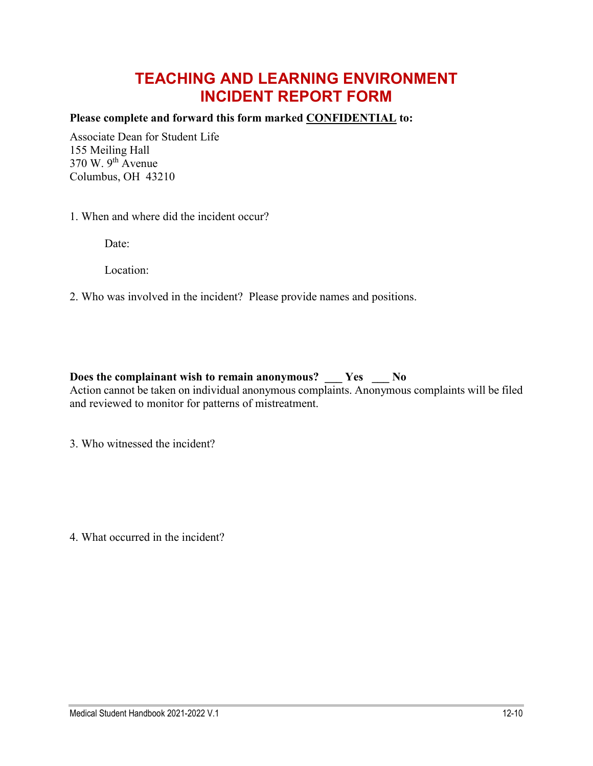# **TEACHING AND LEARNING ENVIRONMENT INCIDENT REPORT FORM**

#### **Please complete and forward this form marked CONFIDENTIAL to:**

Associate Dean for Student Life 155 Meiling Hall  $370$  W.  $9<sup>th</sup>$  Avenue Columbus, OH 43210

1. When and where did the incident occur?

Date:

Location:

#### 2. Who was involved in the incident? Please provide names and positions.

#### **Does the complainant wish to remain anonymous? \_\_\_ Yes \_\_\_ No**

Action cannot be taken on individual anonymous complaints. Anonymous complaints will be filed and reviewed to monitor for patterns of mistreatment.

3. Who witnessed the incident?

4. What occurred in the incident?